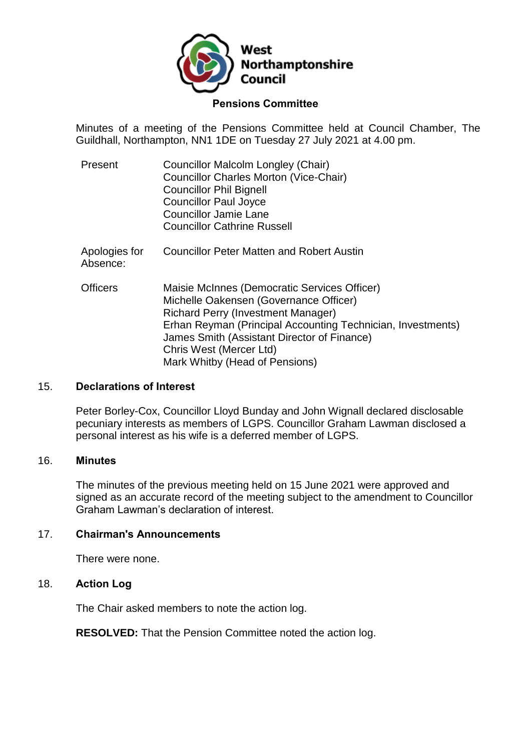

### **Pensions Committee**

Minutes of a meeting of the Pensions Committee held at Council Chamber, The Guildhall, Northampton, NN1 1DE on Tuesday 27 July 2021 at 4.00 pm.

- Present Councillor Malcolm Longley (Chair) Councillor Charles Morton (Vice-Chair) Councillor Phil Bignell Councillor Paul Joyce Councillor Jamie Lane Councillor Cathrine Russell Apologies for Councillor Peter Matten and Robert Austin
- Officers Maisie McInnes (Democratic Services Officer) Michelle Oakensen (Governance Officer) Richard Perry (Investment Manager) Erhan Reyman (Principal Accounting Technician, Investments) James Smith (Assistant Director of Finance) Chris West (Mercer Ltd) Mark Whitby (Head of Pensions)

## 15. **Declarations of Interest**

Absence:

Peter Borley-Cox, Councillor Lloyd Bunday and John Wignall declared disclosable pecuniary interests as members of LGPS. Councillor Graham Lawman disclosed a personal interest as his wife is a deferred member of LGPS.

### 16. **Minutes**

The minutes of the previous meeting held on 15 June 2021 were approved and signed as an accurate record of the meeting subject to the amendment to Councillor Graham Lawman's declaration of interest.

### 17. **Chairman's Announcements**

There were none.

## 18. **Action Log**

The Chair asked members to note the action log.

**RESOLVED:** That the Pension Committee noted the action log.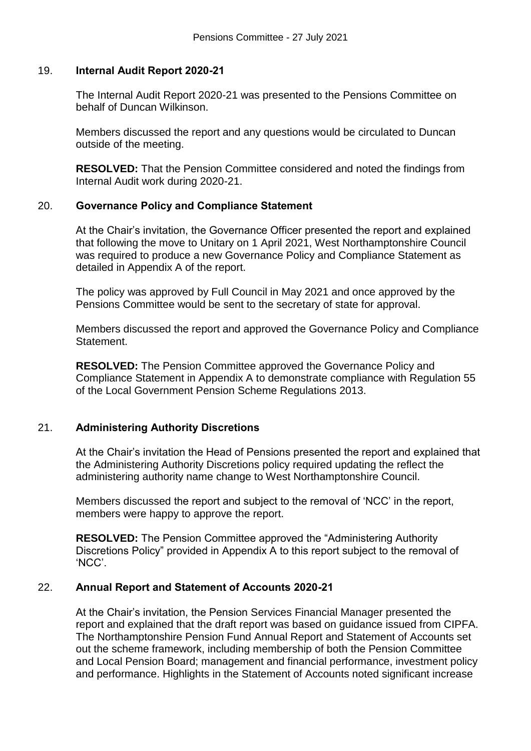## 19. **Internal Audit Report 2020-21**

The Internal Audit Report 2020-21 was presented to the Pensions Committee on behalf of Duncan Wilkinson.

Members discussed the report and any questions would be circulated to Duncan outside of the meeting.

**RESOLVED:** That the Pension Committee considered and noted the findings from Internal Audit work during 2020-21.

# 20. **Governance Policy and Compliance Statement**

At the Chair's invitation, the Governance Officer presented the report and explained that following the move to Unitary on 1 April 2021, West Northamptonshire Council was required to produce a new Governance Policy and Compliance Statement as detailed in Appendix A of the report.

The policy was approved by Full Council in May 2021 and once approved by the Pensions Committee would be sent to the secretary of state for approval.

Members discussed the report and approved the Governance Policy and Compliance Statement.

**RESOLVED:** The Pension Committee approved the Governance Policy and Compliance Statement in Appendix A to demonstrate compliance with Regulation 55 of the Local Government Pension Scheme Regulations 2013.

# 21. **Administering Authority Discretions**

At the Chair's invitation the Head of Pensions presented the report and explained that the Administering Authority Discretions policy required updating the reflect the administering authority name change to West Northamptonshire Council.

Members discussed the report and subject to the removal of 'NCC' in the report, members were happy to approve the report.

**RESOLVED:** The Pension Committee approved the "Administering Authority Discretions Policy" provided in Appendix A to this report subject to the removal of 'NCC'.

# 22. **Annual Report and Statement of Accounts 2020-21**

At the Chair's invitation, the Pension Services Financial Manager presented the report and explained that the draft report was based on guidance issued from CIPFA. The Northamptonshire Pension Fund Annual Report and Statement of Accounts set out the scheme framework, including membership of both the Pension Committee and Local Pension Board; management and financial performance, investment policy and performance. Highlights in the Statement of Accounts noted significant increase